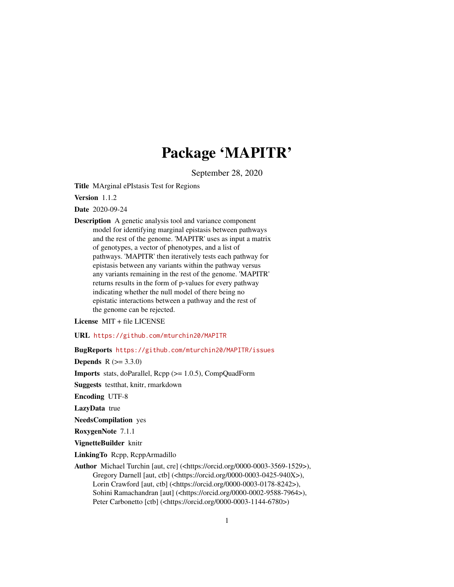# Package 'MAPITR'

September 28, 2020

Title MArginal ePIstasis Test for Regions

Version 1.1.2

Date 2020-09-24

Description A genetic analysis tool and variance component model for identifying marginal epistasis between pathways and the rest of the genome. 'MAPITR' uses as input a matrix of genotypes, a vector of phenotypes, and a list of pathways. 'MAPITR' then iteratively tests each pathway for epistasis between any variants within the pathway versus any variants remaining in the rest of the genome. 'MAPITR' returns results in the form of p-values for every pathway indicating whether the null model of there being no epistatic interactions between a pathway and the rest of the genome can be rejected.

License MIT + file LICENSE

URL <https://github.com/mturchin20/MAPITR>

BugReports <https://github.com/mturchin20/MAPITR/issues>

**Depends**  $R (= 3.3.0)$ 

Imports stats, doParallel, Rcpp (>= 1.0.5), CompQuadForm

Suggests testthat, knitr, rmarkdown

Encoding UTF-8

LazyData true

NeedsCompilation yes

RoxygenNote 7.1.1

VignetteBuilder knitr

LinkingTo Rcpp, RcppArmadillo

Author Michael Turchin [aut, cre] (<https://orcid.org/0000-0003-3569-1529>), Gregory Darnell [aut, ctb] (<https://orcid.org/0000-0003-0425-940X>), Lorin Crawford [aut, ctb] (<https://orcid.org/0000-0003-0178-8242>), Sohini Ramachandran [aut] (<https://orcid.org/0000-0002-9588-7964>), Peter Carbonetto [ctb] (<https://orcid.org/0000-0003-1144-6780>)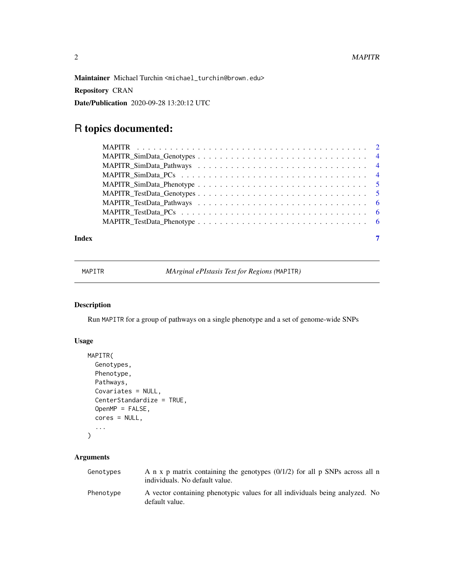<span id="page-1-0"></span>Maintainer Michael Turchin <michael\_turchin@brown.edu>

Repository CRAN

Date/Publication 2020-09-28 13:20:12 UTC

## R topics documented:

| Index |  |
|-------|--|

MAPITR *MArginal ePIstasis Test for Regions (*MAPITR*)*

#### Description

Run MAPITR for a group of pathways on a single phenotype and a set of genome-wide SNPs

#### Usage

```
MAPITR(
 Genotypes,
 Phenotype,
 Pathways,
 Covariates = NULL,
 CenterStandardize = TRUE,
 OpenMP = FALSE,
  cores = NULL,
  ...
)
```
#### Arguments

| Genotypes | A n x p matrix containing the genotypes $(0/1/2)$ for all p SNPs across all n<br>individuals. No default value. |
|-----------|-----------------------------------------------------------------------------------------------------------------|
| Phenotype | A vector containing phenotypic values for all individuals being analyzed. No<br>default value.                  |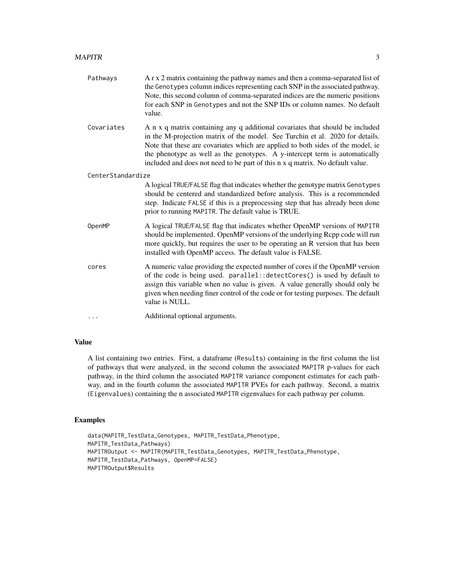| Pathways          | A r x 2 matrix containing the pathway names and then a comma-separated list of<br>the Genotypes column indices representing each SNP in the associated pathway.<br>Note, this second column of comma-separated indices are the numeric positions<br>for each SNP in Genotypes and not the SNP IDs or column names. No default<br>value.                                                                           |  |
|-------------------|-------------------------------------------------------------------------------------------------------------------------------------------------------------------------------------------------------------------------------------------------------------------------------------------------------------------------------------------------------------------------------------------------------------------|--|
| Covariates        | A n x q matrix containing any q additional covariates that should be included<br>in the M-projection matrix of the model. See Turchin et al. 2020 for details.<br>Note that these are covariates which are applied to both sides of the model, ie<br>the phenotype as well as the genotypes. A y-intercept term is automatically<br>included and does not need to be part of this n x q matrix. No default value. |  |
| CenterStandardize |                                                                                                                                                                                                                                                                                                                                                                                                                   |  |
|                   | A logical TRUE/FALSE flag that indicates whether the genotype matrix Genotypes<br>should be centered and standardized before analysis. This is a recommended<br>step. Indicate FALSE if this is a preprocessing step that has already been done<br>prior to running MAPITR. The default value is TRUE.                                                                                                            |  |
| OpenMP            | A logical TRUE/FALSE flag that indicates whether OpenMP versions of MAPITR<br>should be implemented. OpenMP versions of the underlying Rcpp code will run<br>more quickly, but requires the user to be operating an R version that has been<br>installed with OpenMP access. The default value is FALSE.                                                                                                          |  |
| cores             | A numeric value providing the expected number of cores if the OpenMP version<br>of the code is being used. parallel: : detectCores() is used by default to<br>assign this variable when no value is given. A value generally should only be<br>given when needing finer control of the code or for testing purposes. The default<br>value is NULL.                                                                |  |
| .                 | Additional optional arguments.                                                                                                                                                                                                                                                                                                                                                                                    |  |

#### Value

A list containing two entries. First, a dataframe (Results) containing in the first column the list of pathways that were analyzed, in the second column the associated MAPITR p-values for each pathway, in the third column the associated MAPITR variance component estimates for each pathway, and in the fourth column the associated MAPITR PVEs for each pathway. Second, a matrix (Eigenvalues) containing the n associated MAPITR eigenvalues for each pathway per column.

### Examples

```
data(MAPITR_TestData_Genotypes, MAPITR_TestData_Phenotype,
MAPITR_TestData_Pathways)
MAPITROutput <- MAPITR(MAPITR_TestData_Genotypes, MAPITR_TestData_Phenotype,
MAPITR_TestData_Pathways, OpenMP=FALSE)
MAPITROutput$Results
```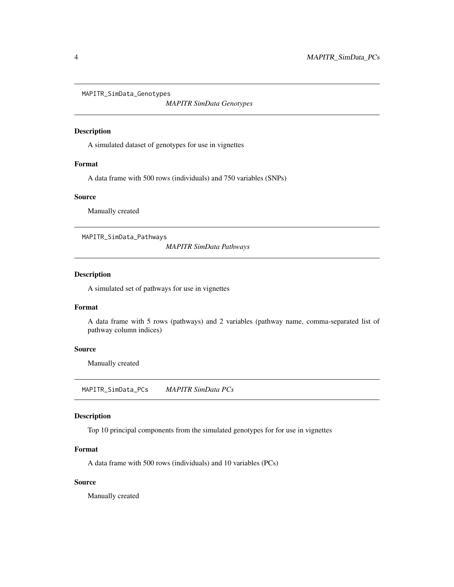<span id="page-3-0"></span>MAPITR\_SimData\_Genotypes

*MAPITR SimData Genotypes*

#### Description

A simulated dataset of genotypes for use in vignettes

#### Format

A data frame with 500 rows (individuals) and 750 variables (SNPs)

#### Source

Manually created

MAPITR\_SimData\_Pathways

*MAPITR SimData Pathways*

#### Description

A simulated set of pathways for use in vignettes

#### Format

A data frame with 5 rows (pathways) and 2 variables (pathway name, comma-separated list of pathway column indices)

#### Source

Manually created

MAPITR\_SimData\_PCs *MAPITR SimData PCs*

#### Description

Top 10 principal components from the simulated genotypes for for use in vignettes

#### Format

A data frame with 500 rows (individuals) and 10 variables (PCs)

#### Source

Manually created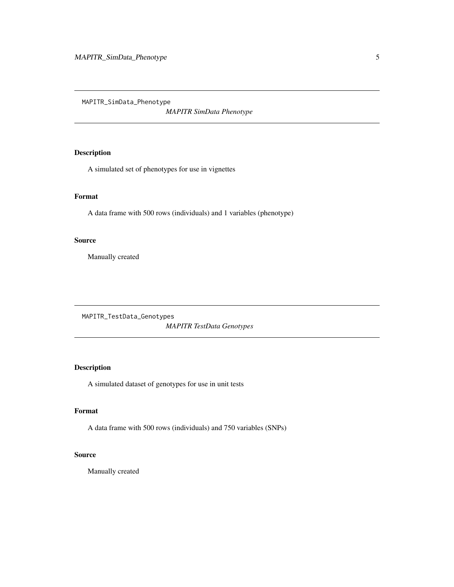<span id="page-4-0"></span>MAPITR\_SimData\_Phenotype

*MAPITR SimData Phenotype*

#### Description

A simulated set of phenotypes for use in vignettes

#### Format

A data frame with 500 rows (individuals) and 1 variables (phenotype)

#### Source

Manually created

MAPITR\_TestData\_Genotypes *MAPITR TestData Genotypes*

### Description

A simulated dataset of genotypes for use in unit tests

#### Format

A data frame with 500 rows (individuals) and 750 variables (SNPs)

#### Source

Manually created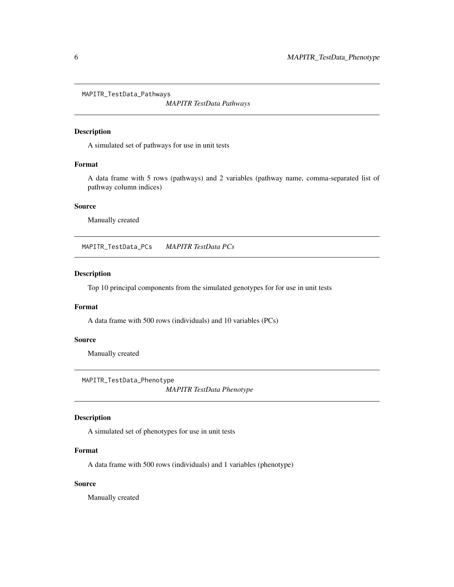<span id="page-5-0"></span>MAPITR\_TestData\_Pathways

*MAPITR TestData Pathways*

#### Description

A simulated set of pathways for use in unit tests

#### Format

A data frame with 5 rows (pathways) and 2 variables (pathway name, comma-separated list of pathway column indices)

#### Source

Manually created

MAPITR\_TestData\_PCs *MAPITR TestData PCs*

#### Description

Top 10 principal components from the simulated genotypes for for use in unit tests

#### Format

A data frame with 500 rows (individuals) and 10 variables (PCs)

#### Source

Manually created

MAPITR\_TestData\_Phenotype

*MAPITR TestData Phenotype*

#### Description

A simulated set of phenotypes for use in unit tests

#### Format

A data frame with 500 rows (individuals) and 1 variables (phenotype)

#### Source

Manually created